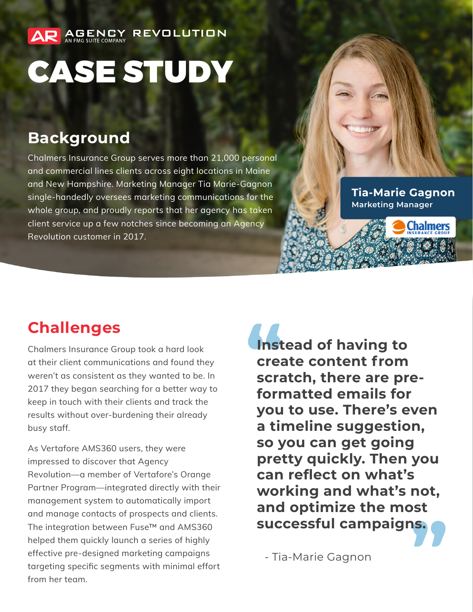## CASE STUDY

**REVOLUTION** 

## **Background**

AR AGENCY

Chalmers Insurance Group serves more than 21,000 personal and commercial lines clients across eight locations in Maine and New Hampshire. Marketing Manager Tia Marie-Gagnon single-handedly oversees marketing communications for the whole group, and proudly reports that her agency has taken client service up a few notches since becoming an Agency Revolution customer in 2017.

**Tia-Marie Gagnon Marketing Manager**

## **Challenges**

Chalmers Insurance Group took a hard look at their client communications and found they weren't as consistent as they wanted to be. In 2017 they began searching for a better way to keep in touch with their clients and track the results without over-burdening their already busy staff.

As Vertafore AMS360 users, they were impressed to discover that Agency Revolution—a member of Vertafore's Orange Partner Program—integrated directly with their management system to automatically import and manage contacts of prospects and clients. The integration between Fuse™ and AMS360 helped them quickly launch a series of highly effective pre-designed marketing campaigns targeting specific segments with minimal effort from her team.

**Instead of having to create content from scratch, there are preformatted emails for you to use. There's even a timeline suggestion, so you can get going pretty quickly. Then you can reflect on what's working and what's not, and optimize the most successful campaigns.**

- Tia-Marie Gagnon